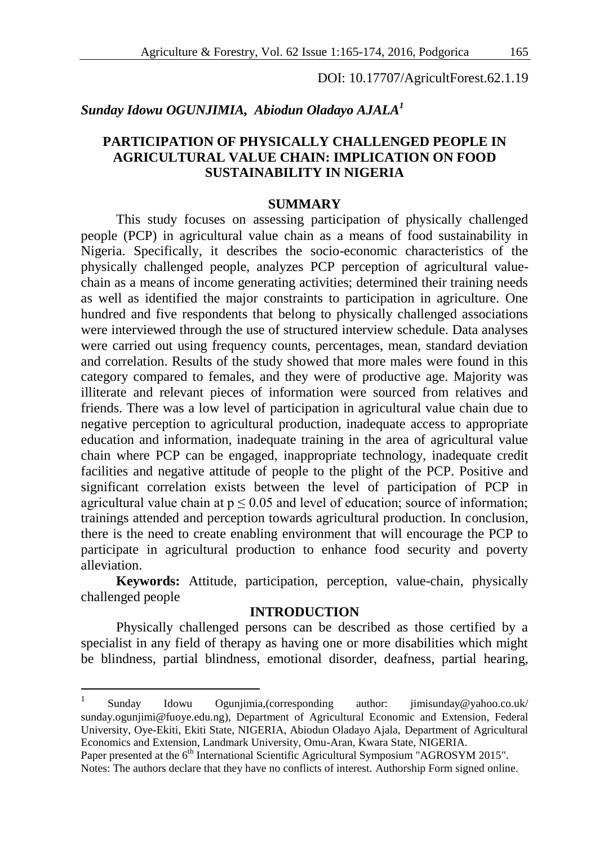DOI: 10.17707/AgricultForest.62.1.19

# *Sunday Idowu OGUNJIMIA, Abiodun Oladayo AJALA<sup>1</sup>*

## **PARTICIPATION OF PHYSICALLY CHALLENGED PEOPLE IN AGRICULTURAL VALUE CHAIN: IMPLICATION ON FOOD SUSTAINABILITY IN NIGERIA**

#### **SUMMARY**

This study focuses on assessing participation of physically challenged people (PCP) in agricultural value chain as a means of food sustainability in Nigeria. Specifically, it describes the socio-economic characteristics of the physically challenged people, analyzes PCP perception of agricultural valuechain as a means of income generating activities; determined their training needs as well as identified the major constraints to participation in agriculture. One hundred and five respondents that belong to physically challenged associations were interviewed through the use of structured interview schedule. Data analyses were carried out using frequency counts, percentages, mean, standard deviation and correlation. Results of the study showed that more males were found in this category compared to females, and they were of productive age. Majority was illiterate and relevant pieces of information were sourced from relatives and friends. There was a low level of participation in agricultural value chain due to negative perception to agricultural production, inadequate access to appropriate education and information, inadequate training in the area of agricultural value chain where PCP can be engaged, inappropriate technology, inadequate credit facilities and negative attitude of people to the plight of the PCP. Positive and significant correlation exists between the level of participation of PCP in agricultural value chain at  $p \le 0.05$  and level of education; source of information; trainings attended and perception towards agricultural production. In conclusion, there is the need to create enabling environment that will encourage the PCP to participate in agricultural production to enhance food security and poverty alleviation.

**Keywords:** Attitude, participation, perception, value-chain, physically challenged people

#### **INTRODUCTION**

Physically challenged persons can be described as those certified by a specialist in any field of therapy as having one or more disabilities which might be blindness, partial blindness, emotional disorder, deafness, partial hearing,

1

<sup>1</sup> Sunday Idowu Ogunjimia,(corresponding author: jimisunday@yahoo.co.uk/ sunday.ogunjimi@fuoye.edu.ng), Department of Agricultural Economic and Extension, Federal University, Oye-Ekiti, Ekiti State, NIGERIA, Abiodun Oladayo Ajala, Department of Agricultural Economics and Extension, Landmark University, Omu-Aran, Kwara State, NIGERIA.

Paper presented at the 6<sup>th</sup> International Scientific Agricultural Symposium "AGROSYM 2015". Notes: The authors declare that they have no conflicts of interest. Authorship Form signed online.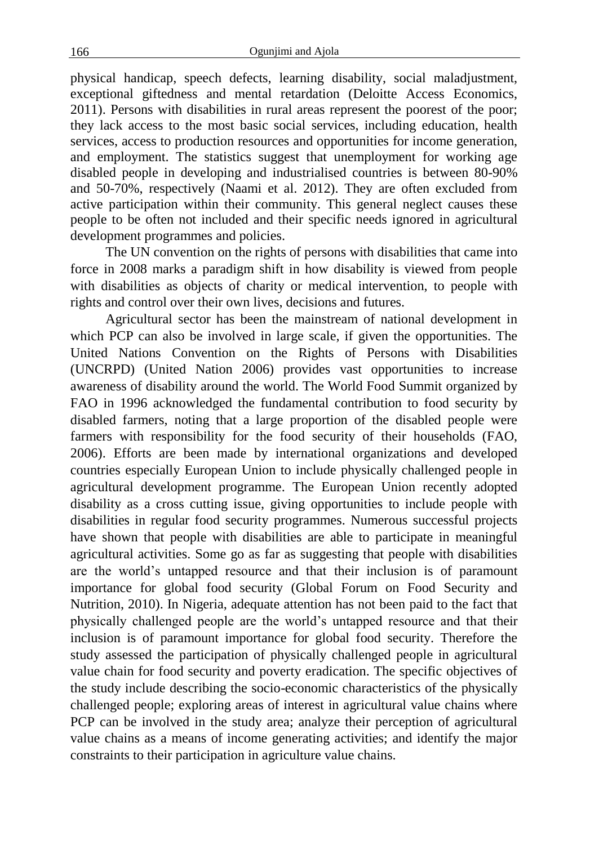physical handicap, speech defects, learning disability, social maladjustment, exceptional giftedness and mental retardation (Deloitte Access Economics, 2011). Persons with disabilities in rural areas represent the poorest of the poor; they lack access to the most basic social services, including education, health services, access to production resources and opportunities for income generation, and employment. The statistics suggest that unemployment for working age disabled people in developing and industrialised countries is between 80-90% and 50-70%, respectively (Naami et al. 2012). They are often excluded from active participation within their community. This general neglect causes these people to be often not included and their specific needs ignored in agricultural development programmes and policies.

The UN convention on the rights of persons with disabilities that came into force in 2008 marks a paradigm shift in how disability is viewed from people with disabilities as objects of charity or medical intervention, to people with rights and control over their own lives, decisions and futures.

Agricultural sector has been the mainstream of national development in which PCP can also be involved in large scale, if given the opportunities. The United Nations Convention on the Rights of Persons with Disabilities (UNCRPD) (United Nation 2006) provides vast opportunities to increase awareness of disability around the world. The World Food Summit organized by FAO in 1996 acknowledged the fundamental contribution to food security by disabled farmers, noting that a large proportion of the disabled people were farmers with responsibility for the food security of their households (FAO, 2006). Efforts are been made by international organizations and developed countries especially European Union to include physically challenged people in agricultural development programme. The European Union recently adopted disability as a cross cutting issue, giving opportunities to include people with disabilities in regular food security programmes. Numerous successful projects have shown that people with disabilities are able to participate in meaningful agricultural activities. Some go as far as suggesting that people with disabilities are the world's untapped resource and that their inclusion is of paramount importance for global food security (Global Forum on Food Security and Nutrition, 2010). In Nigeria, adequate attention has not been paid to the fact that physically challenged people are the world's untapped resource and that their inclusion is of paramount importance for global food security. Therefore the study assessed the participation of physically challenged people in agricultural value chain for food security and poverty eradication. The specific objectives of the study include describing the socio-economic characteristics of the physically challenged people; exploring areas of interest in agricultural value chains where PCP can be involved in the study area; analyze their perception of agricultural value chains as a means of income generating activities; and identify the major constraints to their participation in agriculture value chains.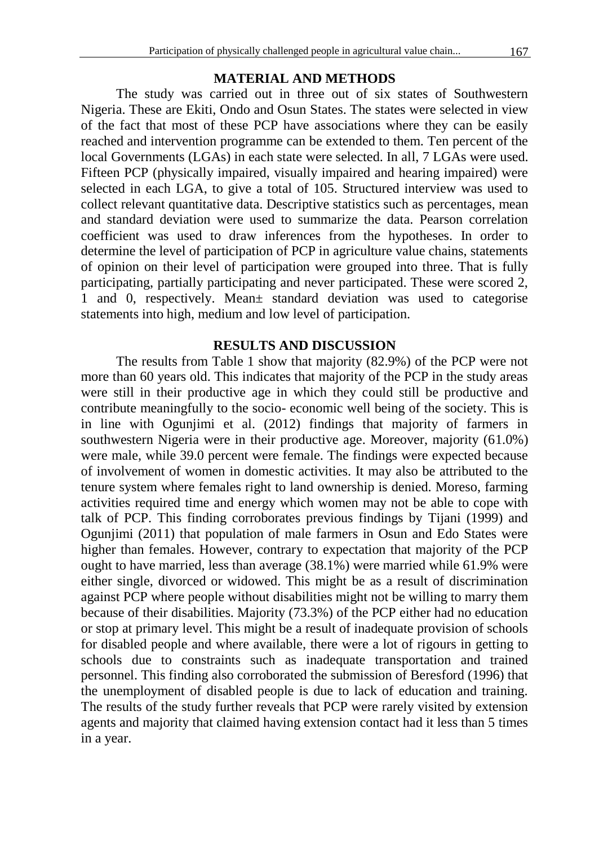## **MATERIAL AND METHODS**

The study was carried out in three out of six states of Southwestern Nigeria. These are Ekiti, Ondo and Osun States. The states were selected in view of the fact that most of these PCP have associations where they can be easily reached and intervention programme can be extended to them. Ten percent of the local Governments (LGAs) in each state were selected. In all, 7 LGAs were used. Fifteen PCP (physically impaired, visually impaired and hearing impaired) were selected in each LGA, to give a total of 105. Structured interview was used to collect relevant quantitative data. Descriptive statistics such as percentages, mean and standard deviation were used to summarize the data. Pearson correlation coefficient was used to draw inferences from the hypotheses. In order to determine the level of participation of PCP in agriculture value chains, statements of opinion on their level of participation were grouped into three. That is fully participating, partially participating and never participated. These were scored 2, 1 and 0, respectively. Mean± standard deviation was used to categorise statements into high, medium and low level of participation.

### **RESULTS AND DISCUSSION**

The results from Table 1 show that majority (82.9%) of the PCP were not more than 60 years old. This indicates that majority of the PCP in the study areas were still in their productive age in which they could still be productive and contribute meaningfully to the socio- economic well being of the society. This is in line with Ogunjimi et al. (2012) findings that majority of farmers in southwestern Nigeria were in their productive age. Moreover, majority (61.0%) were male, while 39.0 percent were female. The findings were expected because of involvement of women in domestic activities. It may also be attributed to the tenure system where females right to land ownership is denied. Moreso, farming activities required time and energy which women may not be able to cope with talk of PCP. This finding corroborates previous findings by Tijani (1999) and Ogunjimi (2011) that population of male farmers in Osun and Edo States were higher than females. However, contrary to expectation that majority of the PCP ought to have married, less than average (38.1%) were married while 61.9% were either single, divorced or widowed. This might be as a result of discrimination against PCP where people without disabilities might not be willing to marry them because of their disabilities. Majority (73.3%) of the PCP either had no education or stop at primary level. This might be a result of inadequate provision of schools for disabled people and where available, there were a lot of rigours in getting to schools due to constraints such as inadequate transportation and trained personnel. This finding also corroborated the submission of Beresford (1996) that the unemployment of disabled people is due to lack of education and training. The results of the study further reveals that PCP were rarely visited by extension agents and majority that claimed having extension contact had it less than 5 times in a year.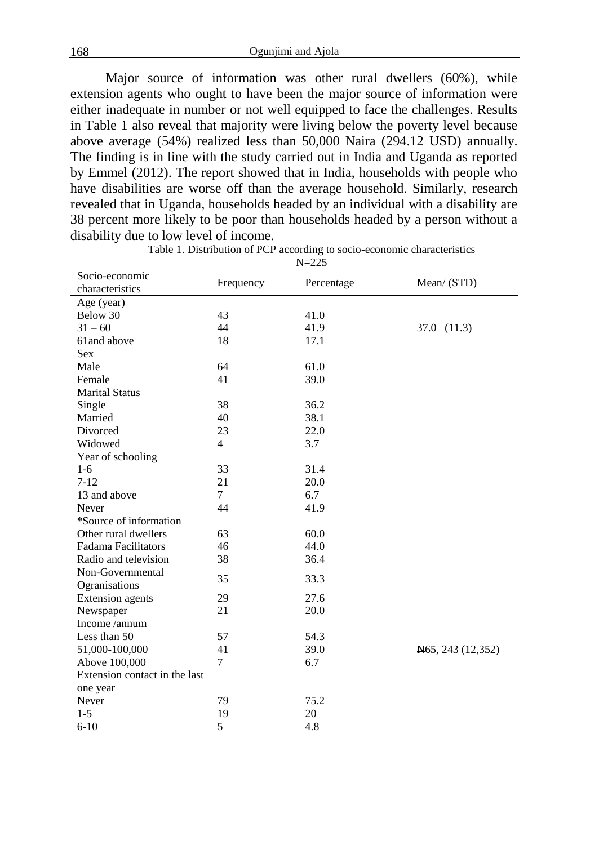168 Ogunjimi and Ajola

Major source of information was other rural dwellers (60%), while extension agents who ought to have been the major source of information were either inadequate in number or not well equipped to face the challenges. Results in Table 1 also reveal that majority were living below the poverty level because above average (54%) realized less than 50,000 Naira (294.12 USD) annually. The finding is in line with the study carried out in India and Uganda as reported by Emmel (2012). The report showed that in India, households with people who have disabilities are worse off than the average household. Similarly, research revealed that in Uganda, households headed by an individual with a disability are 38 percent more likely to be poor than households headed by a person without a disability due to low level of income.

|                               |                | $N = 22$   |                      |
|-------------------------------|----------------|------------|----------------------|
| Socio-economic                | Frequency      | Percentage | Mean/ (STD)          |
| characteristics               |                |            |                      |
| Age (year)                    |                |            |                      |
| Below 30                      | 43             | 41.0       |                      |
| $31 - 60$                     | 44             | 41.9       | 37.0 (11.3)          |
| 61and above                   | 18             | 17.1       |                      |
| Sex                           |                |            |                      |
| Male                          | 64             | 61.0       |                      |
| Female                        | 41             | 39.0       |                      |
| <b>Marital Status</b>         |                |            |                      |
| Single                        | 38             | 36.2       |                      |
| Married                       | 40             | 38.1       |                      |
| Divorced                      | 23             | 22.0       |                      |
| Widowed                       | $\overline{4}$ | 3.7        |                      |
| Year of schooling             |                |            |                      |
| $1-6$                         | 33             | 31.4       |                      |
| $7 - 12$                      | 21             | 20.0       |                      |
| 13 and above                  | $\tau$         | 6.7        |                      |
| Never                         | 44             | 41.9       |                      |
| *Source of information        |                |            |                      |
| Other rural dwellers          | 63             | 60.0       |                      |
| <b>Fadama Facilitators</b>    | 46             | 44.0       |                      |
| Radio and television          | 38             | 36.4       |                      |
| Non-Governmental              | 35             |            |                      |
| Ogranisations                 |                | 33.3       |                      |
| <b>Extension</b> agents       | 29             | 27.6       |                      |
| Newspaper                     | 21             | 20.0       |                      |
| Income /annum                 |                |            |                      |
| Less than 50                  | 57             | 54.3       |                      |
| 51,000-100,000                | 41             | 39.0       | $N65$ , 243 (12,352) |
| Above 100,000                 | 7              | 6.7        |                      |
| Extension contact in the last |                |            |                      |
| one year                      |                |            |                      |
| Never                         | 79             | 75.2       |                      |
| $1 - 5$                       | 19             | 20         |                      |
| $6 - 10$                      | 5              | 4.8        |                      |
|                               |                |            |                      |

Table 1. Distribution of PCP according to socio-economic characteristics  $\overline{M}$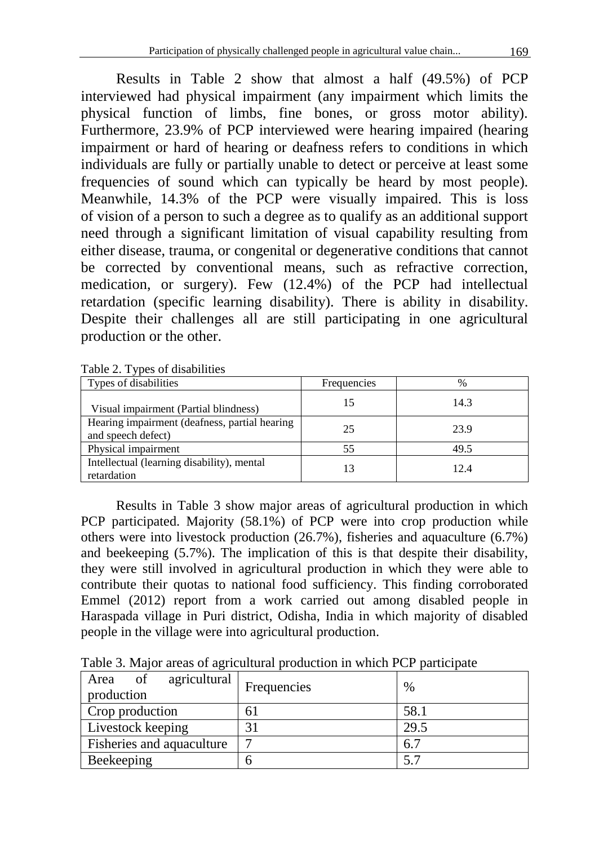Results in Table 2 show that almost a half (49.5%) of PCP interviewed had physical impairment (any impairment which limits the physical function of limbs, fine bones, or gross motor ability). Furthermore, 23.9% of PCP interviewed were hearing impaired (hearing impairment or hard of hearing or deafness refers to conditions in which individuals are fully or partially unable to detect or perceive at least some frequencies of sound which can typically be heard by most people). Meanwhile, 14.3% of the PCP were visually impaired. This is loss of vision of a person to such a degree as to qualify as an additional support need through a significant limitation of visual capability resulting from either disease, trauma, or congenital or degenerative conditions that cannot be corrected by conventional means, such as refractive correction, medication, or surgery). Few (12.4%) of the PCP had intellectual retardation (specific learning disability). There is ability in disability. Despite their challenges all are still participating in one agricultural production or the other.

| Table 2. Types of disabilities |  |
|--------------------------------|--|
|--------------------------------|--|

| Types of disabilities                                               | Frequencies | $\frac{0}{0}$ |
|---------------------------------------------------------------------|-------------|---------------|
| Visual impairment (Partial blindness)                               | 15          | 14.3          |
| Hearing impairment (deafness, partial hearing<br>and speech defect) | 25          | 23.9          |
| Physical impairment                                                 | 55          | 49.5          |
| Intellectual (learning disability), mental<br>retardation           |             | 12.4          |

Results in Table 3 show major areas of agricultural production in which PCP participated. Majority (58.1%) of PCP were into crop production while others were into livestock production (26.7%), fisheries and aquaculture (6.7%) and beekeeping (5.7%). The implication of this is that despite their disability, they were still involved in agricultural production in which they were able to contribute their quotas to national food sufficiency. This finding corroborated Emmel (2012) report from a work carried out among disabled people in Haraspada village in Puri district, Odisha, India in which majority of disabled people in the village were into agricultural production.

Table 3. Major areas of agricultural production in which PCP participate

| agricultural<br>of<br>Area<br>production | Frequencies    | $\%$ |
|------------------------------------------|----------------|------|
| Crop production                          | <sup>61</sup>  | 58.1 |
| Livestock keeping                        | 3 <sup>1</sup> | 29.5 |
| Fisheries and aquaculture                | −              | 6.7  |
| Beekeeping                               |                |      |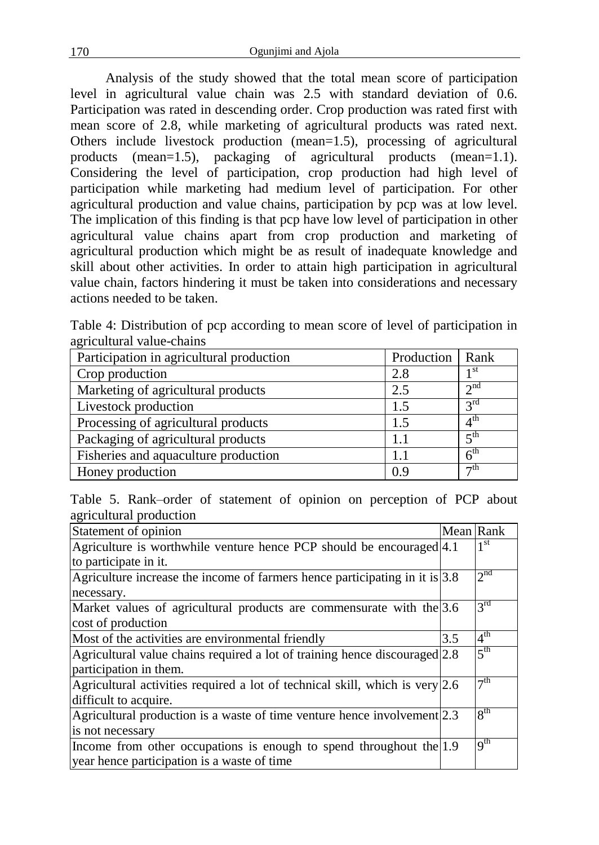Analysis of the study showed that the total mean score of participation level in agricultural value chain was 2.5 with standard deviation of 0.6. Participation was rated in descending order. Crop production was rated first with mean score of 2.8, while marketing of agricultural products was rated next. Others include livestock production (mean=1.5), processing of agricultural products (mean=1.5), packaging of agricultural products (mean=1.1). Considering the level of participation, crop production had high level of participation while marketing had medium level of participation. For other agricultural production and value chains, participation by pcp was at low level. The implication of this finding is that pcp have low level of participation in other agricultural value chains apart from crop production and marketing of agricultural production which might be as result of inadequate knowledge and skill about other activities. In order to attain high participation in agricultural value chain, factors hindering it must be taken into considerations and necessary actions needed to be taken.

Table 4: Distribution of pcp according to mean score of level of participation in agricultural value-chains

| Participation in agricultural production | Production | Rank                   |
|------------------------------------------|------------|------------------------|
| Crop production                          | 2.8        | 1 <sup>st</sup>        |
| Marketing of agricultural products       | 2.5        | $\gamma$ <sup>nd</sup> |
| Livestock production                     | 1.5        | $2^{\text{rd}}$        |
| Processing of agricultural products      | 1.5        | $4^{\rm th}$           |
| Packaging of agricultural products       | 1.1        | $\leq$ tn              |
| Fisheries and aquaculture production     |            | 6 <sup>th</sup>        |
| Honey production                         | 0.9        | $-\th$                 |

Table 5. Rank–order of statement of opinion on perception of PCP about agricultural production

| Statement of opinion                                                          | Mean Rank |                 |
|-------------------------------------------------------------------------------|-----------|-----------------|
| Agriculture is worthwhile venture hence PCP should be encouraged 4.1          |           | 1 <sup>st</sup> |
| to participate in it.                                                         |           |                 |
| Agriculture increase the income of farmers hence participating in it is $3.8$ |           | $2^{nd}$        |
| necessary.                                                                    |           |                 |
| Market values of agricultural products are commensurate with the $3.6$        |           | $3^{\text{rd}}$ |
| cost of production                                                            |           |                 |
| Most of the activities are environmental friendly                             | 3.5       | $4^{\text{th}}$ |
| Agricultural value chains required a lot of training hence discouraged 2.8    |           | $5^{\text{th}}$ |
| participation in them.                                                        |           |                 |
| Agricultural activities required a lot of technical skill, which is very 2.6  |           | 7 <sup>th</sup> |
| difficult to acquire.                                                         |           |                 |
| Agricultural production is a waste of time venture hence involvement [2.3]    |           | 8 <sup>th</sup> |
| is not necessary                                                              |           |                 |
| Income from other occupations is enough to spend throughout the $ 1.9\rangle$ |           | 9 <sup>th</sup> |
| year hence participation is a waste of time                                   |           |                 |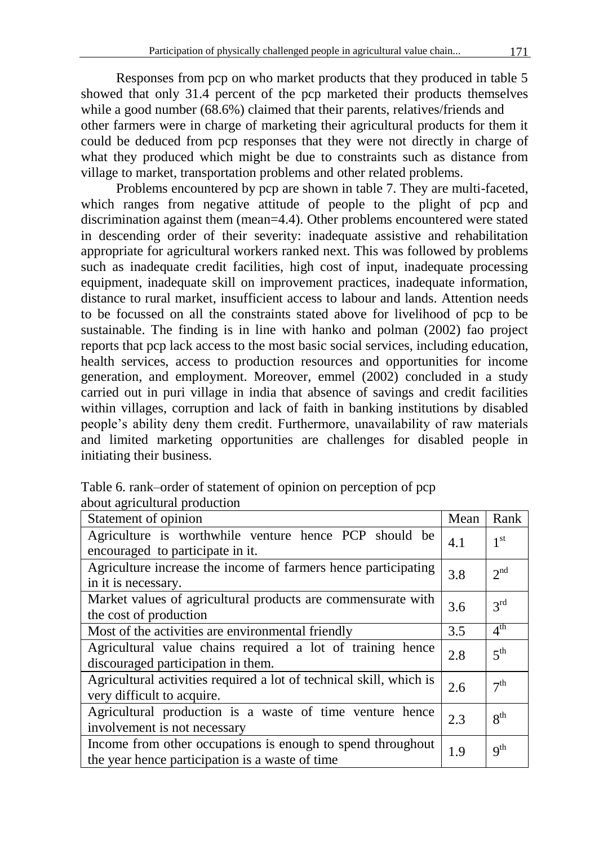Responses from pcp on who market products that they produced in table 5 showed that only 31.4 percent of the pcp marketed their products themselves while a good number (68.6%) claimed that their parents, relatives/friends and other farmers were in charge of marketing their agricultural products for them it could be deduced from pcp responses that they were not directly in charge of what they produced which might be due to constraints such as distance from village to market, transportation problems and other related problems.

Problems encountered by pcp are shown in table 7. They are multi-faceted, which ranges from negative attitude of people to the plight of pcp and discrimination against them (mean=4.4). Other problems encountered were stated in descending order of their severity: inadequate assistive and rehabilitation appropriate for agricultural workers ranked next. This was followed by problems such as inadequate credit facilities, high cost of input, inadequate processing equipment, inadequate skill on improvement practices, inadequate information, distance to rural market, insufficient access to labour and lands. Attention needs to be focussed on all the constraints stated above for livelihood of pcp to be sustainable. The finding is in line with hanko and polman (2002) fao project reports that pcp lack access to the most basic social services, including education, health services, access to production resources and opportunities for income generation, and employment. Moreover, emmel (2002) concluded in a study carried out in puri village in india that absence of savings and credit facilities within villages, corruption and lack of faith in banking institutions by disabled people's ability deny them credit. Furthermore, unavailability of raw materials and limited marketing opportunities are challenges for disabled people in initiating their business.

| about agricultural production                                                                                  |      |                 |
|----------------------------------------------------------------------------------------------------------------|------|-----------------|
| Statement of opinion                                                                                           | Mean | Rank            |
| Agriculture is worthwhile venture hence PCP should be<br>encouraged to participate in it.                      | 4.1  | 1 <sup>st</sup> |
| Agriculture increase the income of farmers hence participating<br>in it is necessary.                          | 3.8  | 2 <sup>nd</sup> |
| Market values of agricultural products are commensurate with<br>the cost of production                         | 3.6  | 3 <sup>rd</sup> |
| Most of the activities are environmental friendly                                                              | 3.5  | 4 <sup>th</sup> |
| Agricultural value chains required a lot of training hence<br>discouraged participation in them.               | 2.8  | 5 <sup>th</sup> |
| Agricultural activities required a lot of technical skill, which is<br>very difficult to acquire.              | 2.6  | 7 <sup>th</sup> |
| Agricultural production is a waste of time venture hence<br>involvement is not necessary                       | 2.3  | 8 <sup>th</sup> |
| Income from other occupations is enough to spend throughout<br>the year hence participation is a waste of time | 1.9  | 9 <sup>th</sup> |

Table 6. rank–order of statement of opinion on perception of pcp about agricultural production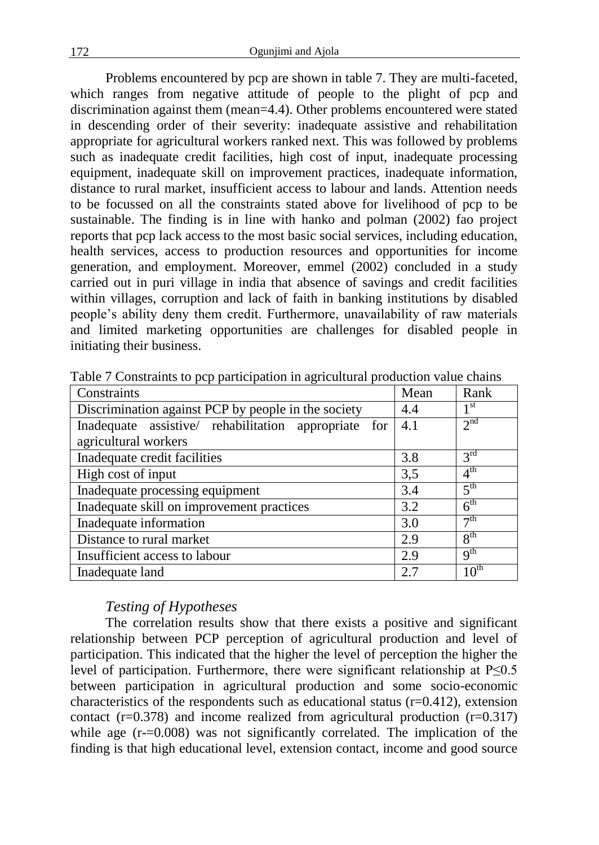Problems encountered by pcp are shown in table 7. They are multi-faceted, which ranges from negative attitude of people to the plight of pcp and discrimination against them (mean=4.4). Other problems encountered were stated in descending order of their severity: inadequate assistive and rehabilitation appropriate for agricultural workers ranked next. This was followed by problems such as inadequate credit facilities, high cost of input, inadequate processing equipment, inadequate skill on improvement practices, inadequate information, distance to rural market, insufficient access to labour and lands. Attention needs to be focussed on all the constraints stated above for livelihood of pcp to be sustainable. The finding is in line with hanko and polman (2002) fao project reports that pcp lack access to the most basic social services, including education, health services, access to production resources and opportunities for income generation, and employment. Moreover, emmel (2002) concluded in a study carried out in puri village in india that absence of savings and credit facilities within villages, corruption and lack of faith in banking institutions by disabled people's ability deny them credit. Furthermore, unavailability of raw materials and limited marketing opportunities are challenges for disabled people in initiating their business.

| racio / Construints to pep participation in agricultural production varior enamis |      |                  |
|-----------------------------------------------------------------------------------|------|------------------|
| Constraints                                                                       | Mean | Rank             |
| Discrimination against PCP by people in the society                               | 4.4  | 1 st             |
| Inadequate assistive/ rehabilitation appropriate for                              | 4.1  | 2 <sup>nd</sup>  |
| agricultural workers                                                              |      |                  |
| Inadequate credit facilities                                                      | 3.8  | 3 <sup>rd</sup>  |
| High cost of input                                                                | 3,5  | 4 <sup>th</sup>  |
| Inadequate processing equipment                                                   | 3.4  | 5 <sup>th</sup>  |
| Inadequate skill on improvement practices                                         | 3.2  | 6 <sup>th</sup>  |
| Inadequate information                                                            | 3.0  | $\neg$ th        |
| Distance to rural market                                                          | 2.9  | 8 <sup>th</sup>  |
| Insufficient access to labour                                                     | 2.9  | 9 <sup>th</sup>  |
| Inadequate land                                                                   | 2.7  | $10^{\text{th}}$ |

Table 7 Constraints to pcp participation in agricultural production value chains

# *Testing of Hypotheses*

The correlation results show that there exists a positive and significant relationship between PCP perception of agricultural production and level of participation. This indicated that the higher the level of perception the higher the level of participation. Furthermore, there were significant relationship at  $P \le 0.5$ between participation in agricultural production and some socio-economic characteristics of the respondents such as educational status (r=0.412), extension contact ( $r=0.378$ ) and income realized from agricultural production ( $r=0.317$ ) while age (r-=0.008) was not significantly correlated. The implication of the finding is that high educational level, extension contact, income and good source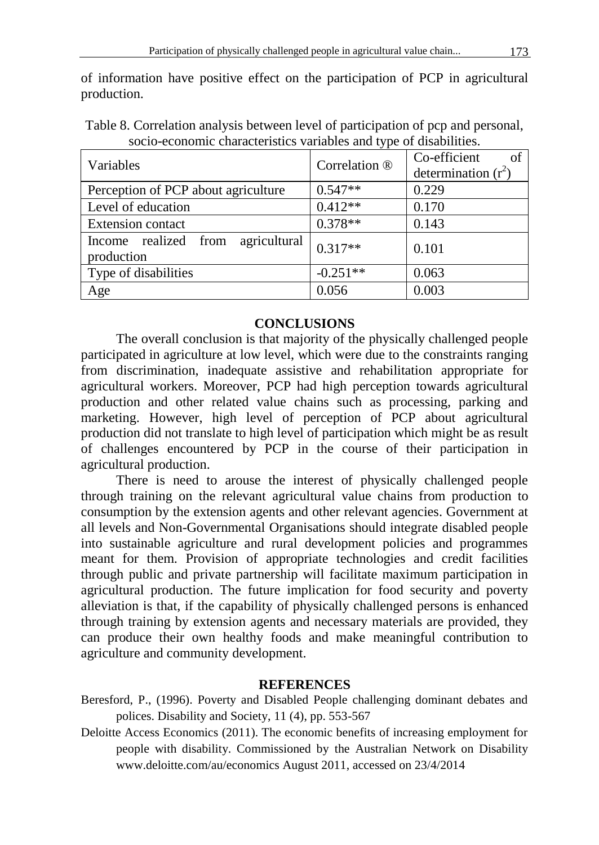of information have positive effect on the participation of PCP in agricultural production.

Table 8. Correlation analysis between level of participation of pcp and personal, socio-economic characteristics variables and type of disabilities.

| Variables                                          | Correlation ® | Co-efficient<br>of<br>determination $(r^2)$ |
|----------------------------------------------------|---------------|---------------------------------------------|
| Perception of PCP about agriculture                | $0.547**$     | 0.229                                       |
| Level of education                                 | $0.412**$     | 0.170                                       |
| <b>Extension contact</b>                           | $0.378**$     | 0.143                                       |
| agricultural<br>Income realized from<br>production | $0.317**$     | 0.101                                       |
| Type of disabilities                               | $-0.251**$    | 0.063                                       |
| Age                                                | 0.056         | 0.003                                       |

### **CONCLUSIONS**

The overall conclusion is that majority of the physically challenged people participated in agriculture at low level, which were due to the constraints ranging from discrimination, inadequate assistive and rehabilitation appropriate for agricultural workers. Moreover, PCP had high perception towards agricultural production and other related value chains such as processing, parking and marketing. However, high level of perception of PCP about agricultural production did not translate to high level of participation which might be as result of challenges encountered by PCP in the course of their participation in agricultural production.

There is need to arouse the interest of physically challenged people through training on the relevant agricultural value chains from production to consumption by the extension agents and other relevant agencies. Government at all levels and Non-Governmental Organisations should integrate disabled people into sustainable agriculture and rural development policies and programmes meant for them. Provision of appropriate technologies and credit facilities through public and private partnership will facilitate maximum participation in agricultural production. The future implication for food security and poverty alleviation is that, if the capability of physically challenged persons is enhanced through training by extension agents and necessary materials are provided, they can produce their own healthy foods and make meaningful contribution to agriculture and community development.

### **REFERENCES**

- Beresford, P., (1996). Poverty and Disabled People challenging dominant debates and polices. Disability and Society, 11 (4), pp. 553-567
- Deloitte Access Economics (2011). The economic benefits of increasing employment for people with disability. Commissioned by the Australian Network on Disability www.deloitte.com/au/economics August 2011, accessed on 23/4/2014